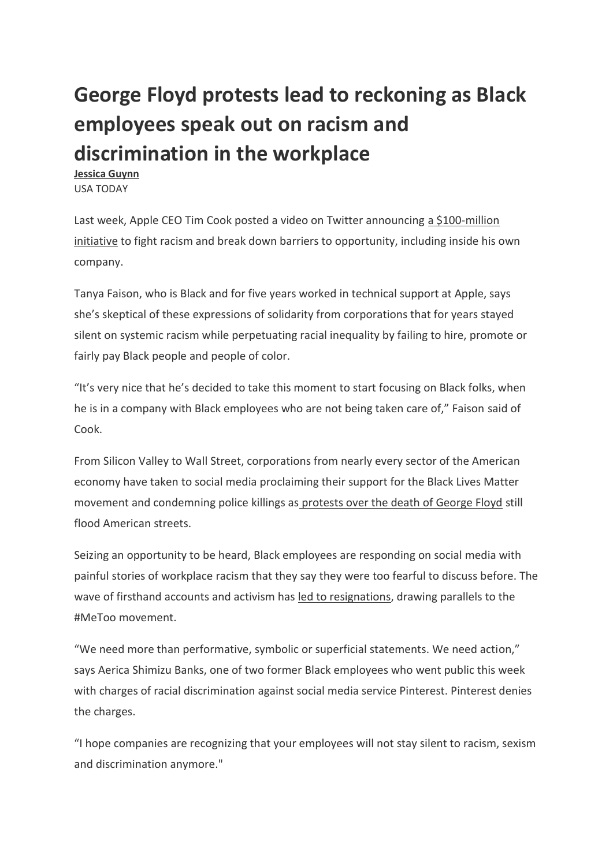# **George Floyd protests lead to reckoning as Black employees speak out on racism and discrimination in the workplace**

**[Jessica Guynn](https://www.usatoday.com/staff/2647487001/jessica-guynn/)** USA TODAY

Last week, Apple CEO Tim Cook posted a video on Twitter announcing [a \\$100-million](https://www.usatoday.com/story/tech/2020/06/12/apple-hire-more-black-people-under-new-100-million-initiative/3174281001/)  [initiative](https://www.usatoday.com/story/tech/2020/06/12/apple-hire-more-black-people-under-new-100-million-initiative/3174281001/) to fight racism and break down barriers to opportunity, including inside his own company.

Tanya Faison, who is Black and for five years worked in technical support at Apple, says she's skeptical of these expressions of solidarity from corporations that for years stayed silent on systemic racism while perpetuating racial inequality by failing to hire, promote or fairly pay Black people and people of color.

"It's very nice that he's decided to take this moment to start focusing on Black folks, when he is in a company with Black employees who are not being taken care of," Faison said of Cook.

From Silicon Valley to Wall Street, corporations from nearly every sector of the American economy have taken to social media proclaiming their support for the Black Lives Matter movement and condemning police killings as [protests over the death of George Floyd](https://www.usatoday.com/in-depth/news/nation/2020/06/07/george-floyd-protest-police-brutality-black-lives-matter/3163505001/) still flood American streets.

Seizing an opportunity to be heard, Black employees are responding on social media with painful stories of workplace racism that they say they were too fearful to discuss before. The wave of firsthand accounts and activism has [led to resignations,](https://www.usatoday.com/story/money/2020/06/08/why-twitter-mad-bon-appetit-calls-adam-rapoport-quit/5322739002/) drawing parallels to the #MeToo movement.

"We need more than performative, symbolic or superficial statements. We need action," says Aerica Shimizu Banks, one of two former Black employees who went public this week with charges of racial discrimination against social media service Pinterest. Pinterest denies the charges.

"I hope companies are recognizing that your employees will not stay silent to racism, sexism and discrimination anymore."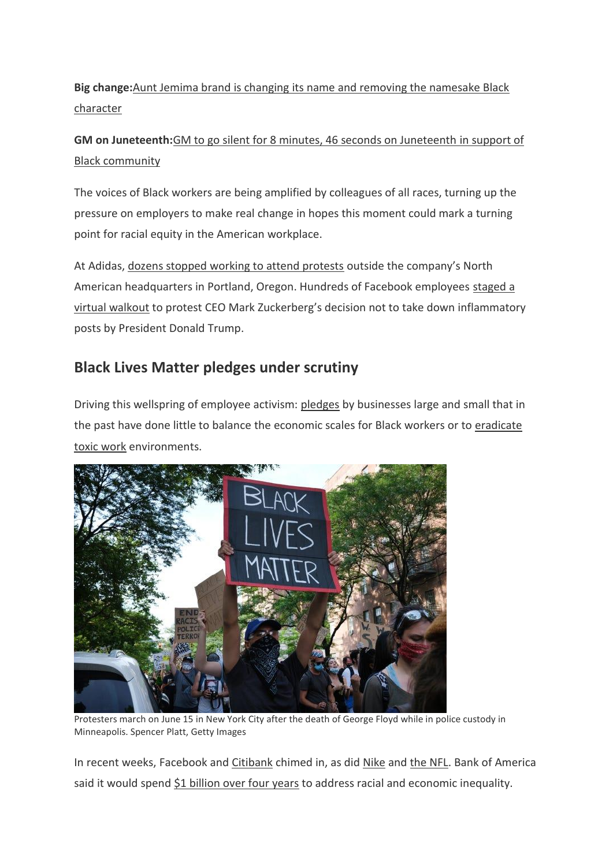**Big change:**[Aunt Jemima brand is changing its name and removing the namesake Black](https://www.usatoday.com/story/money/2020/06/17/aunt-jemima-reportedly-change-name-remove-image-black-woman/3204562001/)  [character](https://www.usatoday.com/story/money/2020/06/17/aunt-jemima-reportedly-change-name-remove-image-black-woman/3204562001/)

#### **GM on Juneteenth:**[GM to go silent for 8 minutes, 46 seconds on Juneteenth](https://www.usatoday.com/story/money/2020/06/16/gm-moment-silence-juneteenth-black-community/3202511001/) in support of [Black community](https://www.usatoday.com/story/money/2020/06/16/gm-moment-silence-juneteenth-black-community/3202511001/)

The voices of Black workers are being amplified by colleagues of all races, turning up the pressure on employers to make real change in hopes this moment could mark a turning point for racial equity in the American workplace.

At Adidas, [dozens stopped working to attend protests](https://www.nytimes.com/2020/06/10/business/adidas-black-employees-discrimination.html) outside the company's North American headquarters in Portland, Oregon. Hundreds of Facebook employees [staged a](https://www.usatoday.com/story/tech/2020/06/04/trump-ex-facebook-employees-blast-companys-cowardly-stance-on-posts/3142590001/)  [virtual walkout](https://www.usatoday.com/story/tech/2020/06/04/trump-ex-facebook-employees-blast-companys-cowardly-stance-on-posts/3142590001/) to protest CEO Mark Zuckerberg's decision not to take down inflammatory posts by President Donald Trump.

### **Black Lives Matter pledges under scrutiny**

Driving this wellspring of employee activism: [pledges](https://www.usatoday.com/story/tech/2018/07/12/facebooks-diversity-efforts-failing-black-and-hispanic-women/776534002/) by businesses large and small that in the past have done little to balance the economic scales for Black workers or to [eradicate](https://www.usatoday.com/story/tech/news/2017/04/27/toxic-workplaces-technology-women-minorities-retention/100977038/)  [toxic work](https://www.usatoday.com/story/tech/news/2017/04/27/toxic-workplaces-technology-women-minorities-retention/100977038/) environments.



Protesters march on June 15 in New York City after the death of George Floyd while in police custody in Minneapolis. Spencer Platt, Getty Images

In recent weeks, Facebook and [Citibank](https://fortune.com/2020/06/02/citi-cfo-mark-mason-george-floyd/) chimed in, as did [Nike](https://www.usatoday.com/story/sports/2020/05/30/george-floyd-nike-ad-addresses-racism-protests-dont-do-it/5291023002/) and [the NFL.](https://www.usatoday.com/story/sports/nfl/2020/06/15/nfl-quarterbacks-race-justice-george-floyd-death-patrick-mahomes/3189737001/) Bank of America said it would spend [\\$1 billion over four years](https://www.cnn.com/2020/06/02/business/bank-of-america-billion-dollar-donation/index.html) to address racial and economic inequality.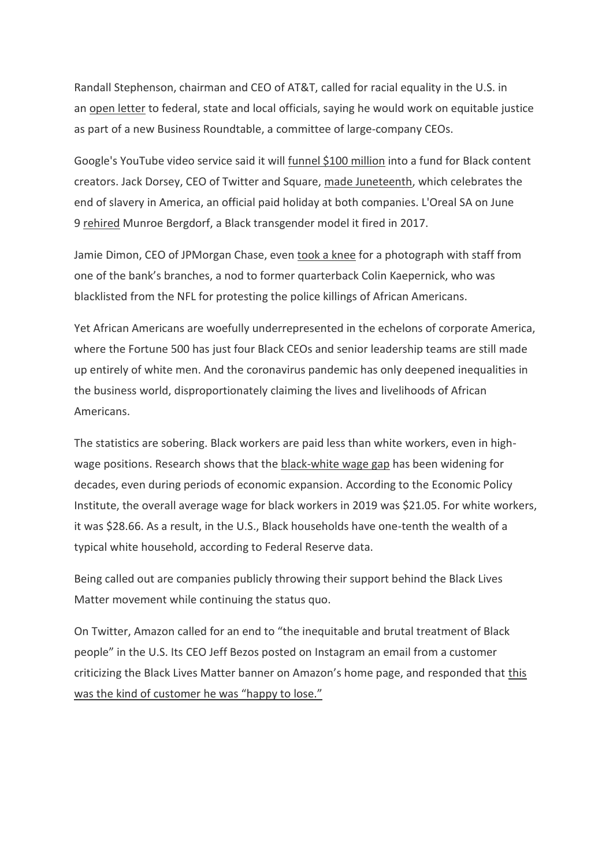Randall Stephenson, chairman and CEO of AT&T, called for racial equality in the U.S. in an [open letter](https://about.att.com/newsroom/2020/mandate_for_equitable_justice.html) to federal, state and local officials, saying he would work on equitable justice as part of a new Business Roundtable, a committee of large-company CEOs.

Google's YouTube video service said it will [funnel \\$100 million](https://www.marketwatch.com/story/youtube-is-starting-a-100-million-fund-for-black-creators-artists-2020-06-11) into a fund for Black content creators. Jack Dorsey, CEO of Twitter and Square, [made Juneteenth,](https://www.usatoday.com/story/tech/2020/06/09/twitter-and-square-ceo-dorsey-juneteenth-workers-holiday/5330947002/) which celebrates the end of slavery in America, an official paid holiday at both companies. L'Oreal SA on June 9 [rehired](https://www.nbcnews.com/feature/nbc-out/munroe-bergdorf-rehired-l-or-al-3-years-after-being-n1228376) Munroe Bergdorf, a Black transgender model it fired in 2017.

Jamie Dimon, CEO of JPMorgan Chase, even [took a knee](https://www.atmmarketplace.com/news/jpmorgan-chase-ceo-takes-a-knee-with-staff/) for a photograph with staff from one of the bank's branches, a nod to former quarterback Colin Kaepernick, who was blacklisted from the NFL for protesting the police killings of African Americans.

Yet African Americans are woefully underrepresented in the echelons of corporate America, where the Fortune 500 has just four Black CEOs and senior leadership teams are still made up entirely of white men. And the coronavirus pandemic has only deepened inequalities in the business world, disproportionately claiming the lives and livelihoods of African Americans.

The statistics are sobering. Black workers are paid less than white workers, even in highwage positions. Research shows that the [black-white wage gap](https://newrepublic.com/article/158142/black-wage-gap-income-inequality) has been widening for decades, even during periods of economic expansion. According to the Economic Policy Institute, the overall average wage for black workers in 2019 was \$21.05. For white workers, it was \$28.66. As a result, in the U.S., Black households have one-tenth the wealth of a typical white household, according to Federal Reserve data.

Being called out are companies publicly throwing their support behind the Black Lives Matter movement while continuing the status quo.

On Twitter, Amazon called for an end to "the inequitable and brutal treatment of Black people" in the U.S. Its CEO Jeff Bezos posted on Instagram an email from a customer criticizing the Black Lives Matter banner on Amazon's home page, and responded that this [was the kind of customer he was "happy to lose."](https://www.usatoday.com/story/tech/2020/06/08/jeff-bezos-shares-angry-emails-over-support-black-lives-matter/5317310002/)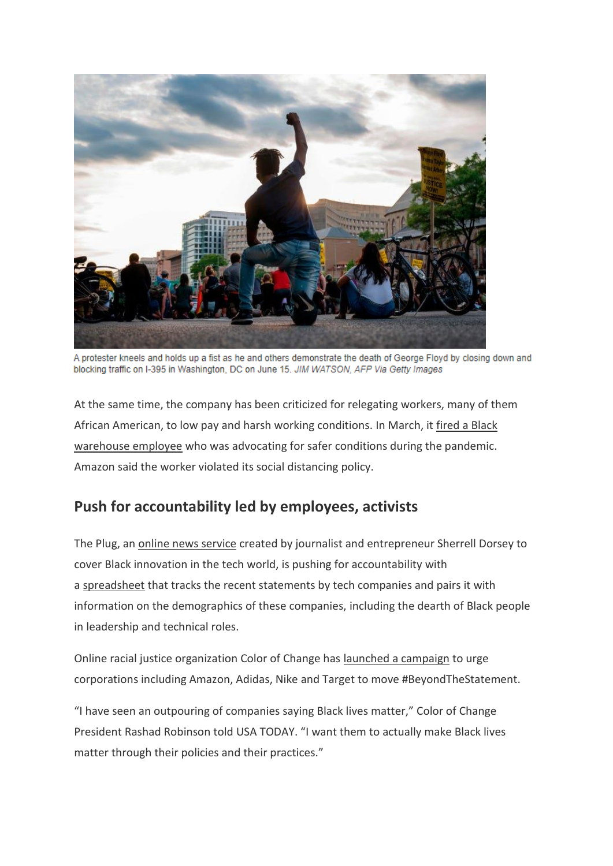

A protester kneels and holds up a fist as he and others demonstrate the death of George Floyd by closing down and blocking traffic on I-395 in Washington, DC on June 15. JIM WATSON, AFP Via Getty Images

At the same time, the company has been criticized for relegating workers, many of them African American, to low pay and harsh working conditions. In March, it [fired a Black](https://www.usatoday.com/story/money/business/2020/04/02/coronavirus-amazon-sought-discredit-labor-organizer-covid-19-worker-walkout/5116929002/)  [warehouse employee](https://www.usatoday.com/story/money/business/2020/04/02/coronavirus-amazon-sought-discredit-labor-organizer-covid-19-worker-walkout/5116929002/) who was advocating for safer conditions during the pandemic. Amazon said the worker violated its social distancing policy.

## **Push for accountability led by employees, activists**

The Plug, an [online news service](https://tpinsights.com/) created by journalist and entrepreneur Sherrell Dorsey to cover Black innovation in the tech world, is pushing for accountability with a [spreadsheet](https://docs.google.com/spreadsheets/d/1OZx-_tm3PPyx6-ZJAST1xxOJRfn7KfYDjDT6JedrTfs/edit#gid=0) that tracks the recent statements by tech companies and pairs it with information on the demographics of these companies, including the dearth of Black people in leadership and technical roles.

Online racial justice organization Color of Change has [launched a campaign](https://act.colorofchange.org/sign/black-workers-matter/) to urge corporations including Amazon, Adidas, Nike and Target to move #BeyondTheStatement.

"I have seen an outpouring of companies saying Black lives matter," Color of Change President Rashad Robinson told USA TODAY. "I want them to actually make Black lives matter through their policies and their practices."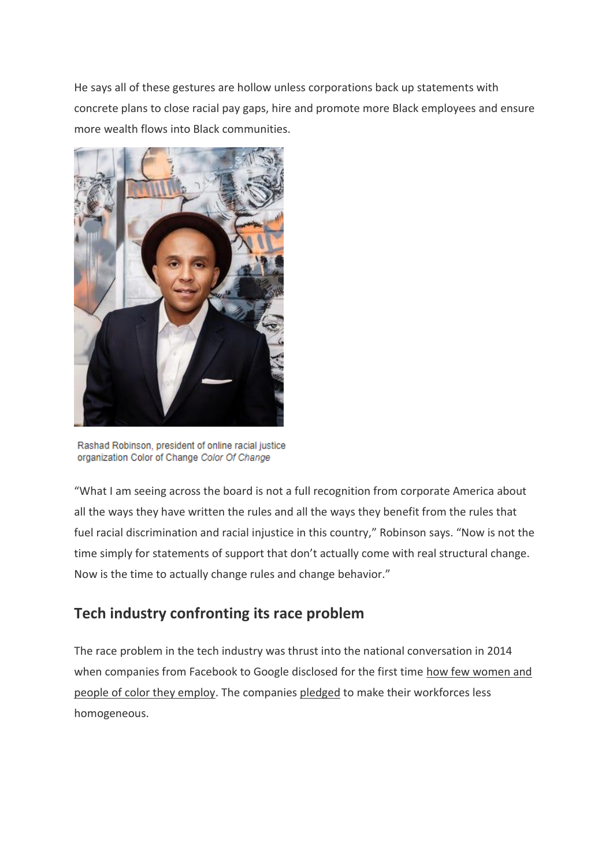He says all of these gestures are hollow unless corporations back up statements with concrete plans to close racial pay gaps, hire and promote more Black employees and ensure more wealth flows into Black communities.



Rashad Robinson, president of online racial justice organization Color of Change Color Of Change

"What I am seeing across the board is not a full recognition from corporate America about all the ways they have written the rules and all the ways they benefit from the rules that fuel racial discrimination and racial injustice in this country," Robinson says. "Now is not the time simply for statements of support that don't actually come with real structural change. Now is the time to actually change rules and change behavior."

### **Tech industry confronting its race problem**

The race problem in the tech industry was thrust into the national conversation in 2014 when companies from Facebook to Google disclosed for the first time [how few women and](https://www.usatoday.com/story/tech/2014/06/26/silicon-valley-tech-diversity-white-asian-black-hispanic-google-facebook-yahoo/11372421/)  [people of color they employ.](https://www.usatoday.com/story/tech/2014/06/26/silicon-valley-tech-diversity-white-asian-black-hispanic-google-facebook-yahoo/11372421/) The companies [pledged](https://www.usatoday.com/story/tech/2015/05/05/google-raises-stakes-diversity-spending/26868359/) to make their workforces less homogeneous.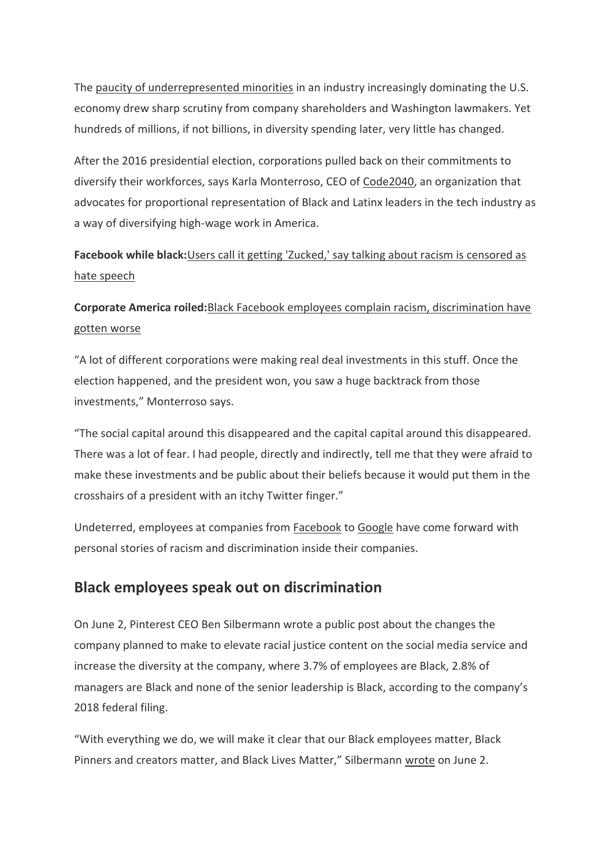The [paucity of underrepresented minorities](https://www.usatoday.com/story/tech/2014/12/29/usa-today-analysis-finds-minorities-underrepresented-in-non-tech-tech-jobs/20868353/) in an industry increasingly dominating the U.S. economy drew sharp scrutiny from company shareholders and Washington lawmakers. Yet hundreds of millions, if not billions, in diversity spending later, very little has changed.

After the 2016 presidential election, corporations pulled back on their commitments to diversify their workforces, says Karla Monterroso, CEO of [Code2040,](https://www.usatoday.com/story/tech/2017/11/16/exclusive-code-2040-raises-5-6-million-fights-tech-diversity-backlash/868890001/) an organization that advocates for proportional representation of Black and Latinx leaders in the tech industry as a way of diversifying high-wage work in America.

### **Facebook while black:**[Users call it getting 'Zucked,' say talking about racism is censored as](https://www.usatoday.com/story/news/2019/04/24/facebook-while-black-zucked-users-say-they-get-blocked-racism-discussion/2859593002/)  [hate speech](https://www.usatoday.com/story/news/2019/04/24/facebook-while-black-zucked-users-say-they-get-blocked-racism-discussion/2859593002/)

### **Corporate America roiled:**[Black Facebook employees complain racism, discrimination have](https://www.usatoday.com/story/tech/2019/11/08/facebooks-current-and-former-black-employees-allege-growing-racism/2534615001/)  [gotten worse](https://www.usatoday.com/story/tech/2019/11/08/facebooks-current-and-former-black-employees-allege-growing-racism/2534615001/)

"A lot of different corporations were making real deal investments in this stuff. Once the election happened, and the president won, you saw a huge backtrack from those investments," Monterroso says.

"The social capital around this disappeared and the capital capital around this disappeared. There was a lot of fear. I had people, directly and indirectly, tell me that they were afraid to make these investments and be public about their beliefs because it would put them in the crosshairs of a president with an itchy Twitter finger."

Undeterred, employees at companies from [Facebook](https://www.usatoday.com/story/news/2018/11/27/facebook-has-problem-black-people-former-employee-says/2126056002/) to [Google](https://www.usatoday.com/story/tech/2020/02/10/racial-discrimination-persists-facebook-google-employees-say/4307591002/) have come forward with personal stories of racism and discrimination inside their companies.

### **Black employees speak out on discrimination**

On June 2, Pinterest CEO Ben Silbermann wrote a public post about the changes the company planned to make to elevate racial justice content on the social media service and increase the diversity at the company, where 3.7% of employees are Black, 2.8% of managers are Black and none of the senior leadership is Black, according to the company's 2018 federal filing.

"With everything we do, we will make it clear that our Black employees matter, Black Pinners and creators matter, and Black Lives Matter," Silbermann [wrote](https://newsroom.pinterest.com/en/post/listening-and-acting) on June 2.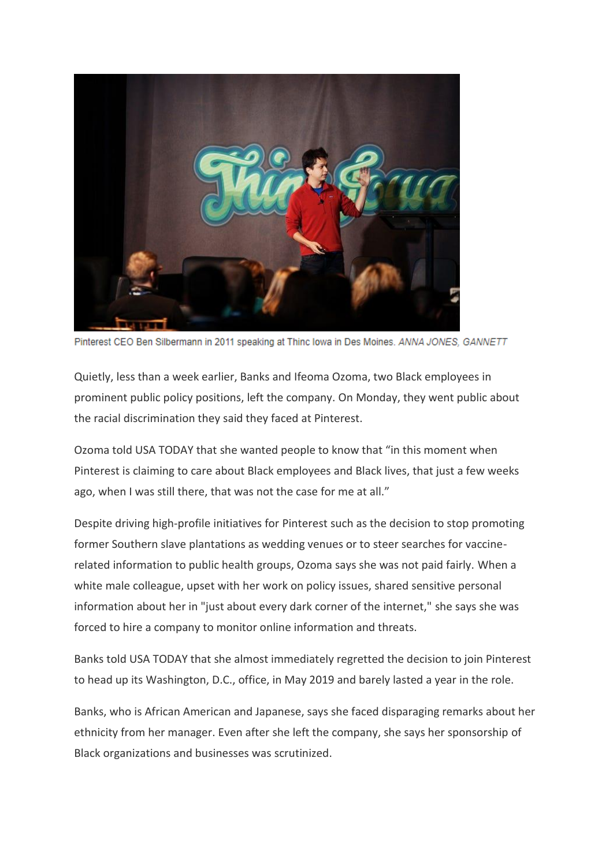

Pinterest CEO Ben Silbermann in 2011 speaking at Thinc Iowa in Des Moines. ANNA JONES, GANNETT

Quietly, less than a week earlier, Banks and Ifeoma Ozoma, two Black employees in prominent public policy positions, left the company. On Monday, they went public about the racial discrimination they said they faced at Pinterest.

Ozoma told USA TODAY that she wanted people to know that "in this moment when Pinterest is claiming to care about Black employees and Black lives, that just a few weeks ago, when I was still there, that was not the case for me at all."

Despite driving high-profile initiatives for Pinterest such as the decision to stop promoting former Southern slave plantations as wedding venues or to steer searches for vaccinerelated information to public health groups, Ozoma says she was not paid fairly. When a white male colleague, upset with her work on policy issues, shared sensitive personal information about her in "just about every dark corner of the internet," she says she was forced to hire a company to monitor online information and threats.

Banks told USA TODAY that she almost immediately regretted the decision to join Pinterest to head up its Washington, D.C., office, in May 2019 and barely lasted a year in the role.

Banks, who is African American and Japanese, says she faced disparaging remarks about her ethnicity from her manager. Even after she left the company, she says her sponsorship of Black organizations and businesses was scrutinized.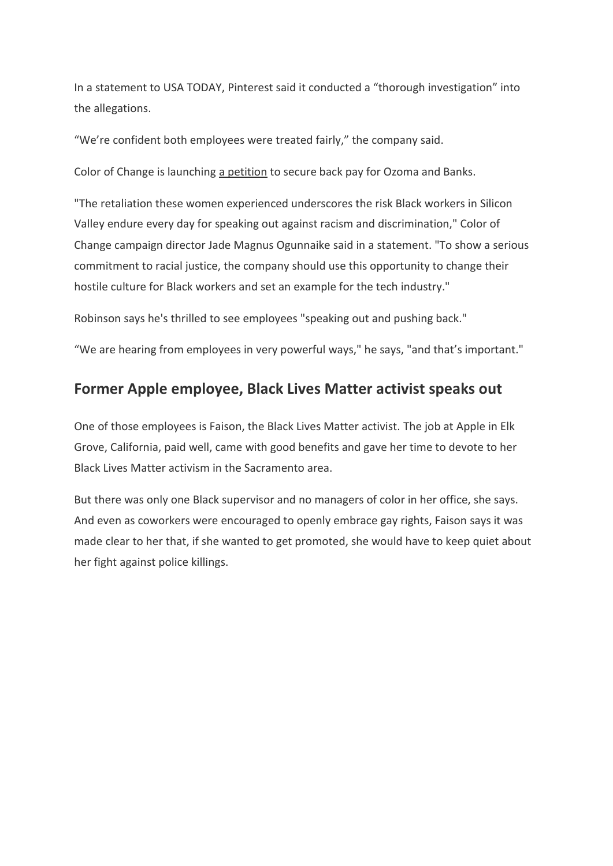In a statement to USA TODAY, Pinterest said it conducted a "thorough investigation" into the allegations.

"We're confident both employees were treated fairly," the company said.

Color of Change is launching [a petition](https://campaigns.organizefor.org/petitions/tell-pinterest-pay-your-black-employees-what-you-owe-them) to secure back pay for Ozoma and Banks.

"The retaliation these women experienced underscores the risk Black workers in Silicon Valley endure every day for speaking out against racism and discrimination," Color of Change campaign director Jade Magnus Ogunnaike said in a statement. "To show a serious commitment to racial justice, the company should use this opportunity to change their hostile culture for Black workers and set an example for the tech industry."

Robinson says he's thrilled to see employees "speaking out and pushing back."

"We are hearing from employees in very powerful ways," he says, "and that's important."

#### **Former Apple employee, Black Lives Matter activist speaks out**

One of those employees is Faison, the Black Lives Matter activist. The job at Apple in Elk Grove, California, paid well, came with good benefits and gave her time to devote to her Black Lives Matter activism in the Sacramento area.

But there was only one Black supervisor and no managers of color in her office, she says. And even as coworkers were encouraged to openly embrace gay rights, Faison says it was made clear to her that, if she wanted to get promoted, she would have to keep quiet about her fight against police killings.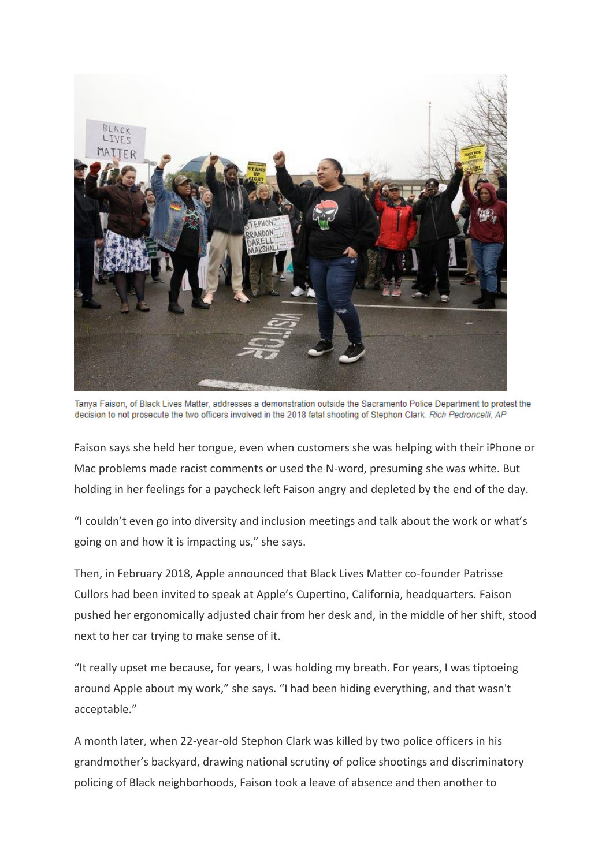

Tanya Faison, of Black Lives Matter, addresses a demonstration outside the Sacramento Police Department to protest the decision to not prosecute the two officers involved in the 2018 fatal shooting of Stephon Clark. Rich Pedroncelli, AP

Faison says she held her tongue, even when customers she was helping with their iPhone or Mac problems made racist comments or used the N-word, presuming she was white. But holding in her feelings for a paycheck left Faison angry and depleted by the end of the day.

"I couldn't even go into diversity and inclusion meetings and talk about the work or what's going on and how it is impacting us," she says.

Then, in February 2018, Apple announced that Black Lives Matter co-founder Patrisse Cullors had been invited to speak at Apple's Cupertino, California, headquarters. Faison pushed her ergonomically adjusted chair from her desk and, in the middle of her shift, stood next to her car trying to make sense of it.

"It really upset me because, for years, I was holding my breath. For years, I was tiptoeing around Apple about my work," she says. "I had been hiding everything, and that wasn't acceptable."

A month later, when 22-year-old Stephon Clark was killed by two police officers in his grandmother's backyard, drawing national scrutiny of police shootings and discriminatory policing of Black neighborhoods, Faison took a leave of absence and then another to